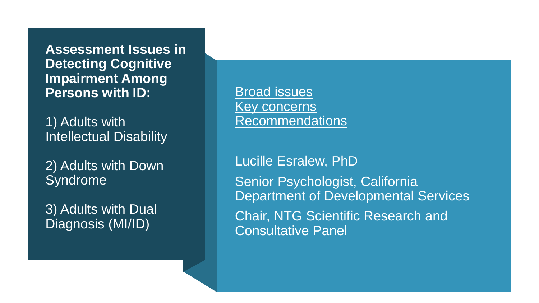**Assessment Issues in Detecting Cognitive Impairment Among Persons with ID:**

1) Adults with Intellectual Disability

2) Adults with Down Syndrome

3) Adults with Dual Diagnosis (MI/ID)

Broad issues Key concerns Recommendations

Lucille Esralew, PhD Senior Psychologist, California Department of Developmental Services Chair, NTG Scientific Research and Consultative Panel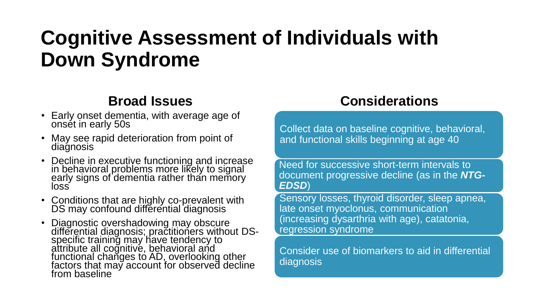# **Cognitive Assessment of Individuals with Down Syndrome**

### **Broad Issues**

- Early onset dementia, with average age of onset in early 50s
- May see rapid deterioration from point of diagnosis
- Decline in executive functioning and increase in behavioral problems more likely to signal early signs of dementia rather than memory loss
- Conditions that are highly co-prevalent with DS may confound differential diagnosis
- Diagnostic overshadowing may obscure differential diagnosis; practitioners without DSspecific training may have tendency to attribute all coğnitive, behavioral and functional changes to AD, overlooking other factors that may account for observed decline from baseline

### **Considerations**

Collect data on baseline cognitive, behavioral, and functional skills beginning at age 40

Need for successive short-term intervals to document progressive decline (as in the *NTG-EDSD*)

Sensory losses, thyroid disorder, sleep apnea, late onset myoclonus, communication (increasing dysarthria with age), catatonia, regression syndrome

Consider use of biomarkers to aid in differential diagnosis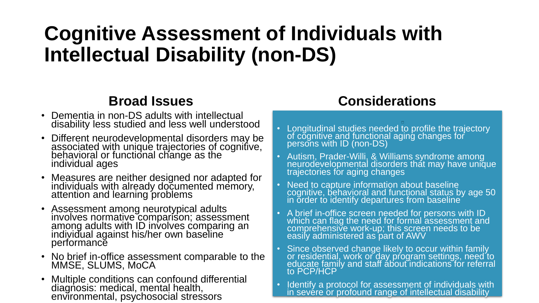# **Cognitive Assessment of Individuals with Intellectual Disability (non-DS)**

### **Broad Issues**

- Dementia in non-DS adults with intellectual disability less studied and less well understood
- Different neurodevelopmental disorders may be associated with unique trajectories of cognitive, behavioral or functional change as the individual ages
- Measures are neither designed nor adapted for individuals with already documented memory, attention and learning problems
- Assessment among neurotypical adults involves normative comparison; assessment among adults with ID involves comparing an individual against his/her own baseline performance
- No brief in-office assessment comparable to the MMSE, SLUMS, MoCA
- Multiple conditions can confound differential diagnosis: medical, mental health, environmental, psychosocial stressors

### **Considerations**

- Longitudinal studies needed to profile the trajectory of cognitive and functional aging changes for persons with ID (non-DS)
- Autism, Prader-Willi, & Williams syndrome among neurodevelopmental disorders that may have unique trajectories for aging changes
- Need to capture information about baseline cognitive, behavioral and functional status by age 50 in order to identify departures from baseline
- A brief in-office screen needed for persons with ID which can flag the need for formal assessment and comprehensive work-up; this screen needs to be easily administered as part of AWV
- Since observed change likely to occur within family or residential, work or day program settings, need to educate family and staff about indications for referral to PCP/HCP
- Identify a protocol for assessment of individuals with in sevére or profound range of intellectual disability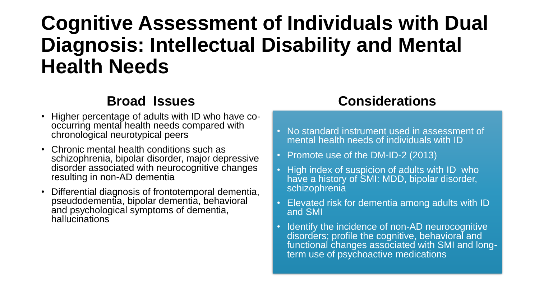# **Cognitive Assessment of Individuals with Dual Diagnosis: Intellectual Disability and Mental Health Needs**

#### **Broad Issues**

- Higher percentage of adults with ID who have cooccurring mental health needs compared with chronological neurotypical peers
- Chronic mental health conditions such as schizophrenia, bipolar disorder, major depressive disorder associated with neurocognitive changes resulting in non-AD dementia
- Differential diagnosis of frontotemporal dementia, pseudodementia, bipolar dementia, behavioral and psychological symptoms of dementia, hallucinations

#### **Considerations**

- No standard instrument used in assessment of mental health needs of individuals with ID
- Promote use of the DM-ID-2 (2013)
- High index of suspicion of adults with ID who have a history of SMI: MDD, bipolar disorder, schizophrenia
- Elevated risk for dementia among adults with ID and SMI
- Identify the incidence of non-AD neurocognitive disorders; profile the cognitive, behavioral and functional changes associated with SMI and longterm use of psychoactive medications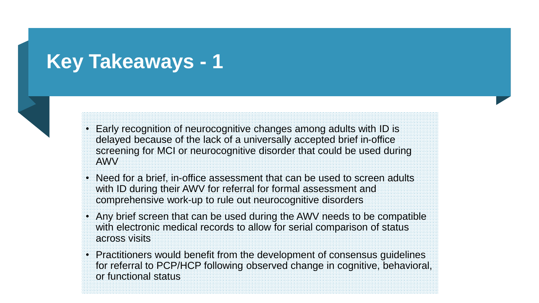## **Key Takeaways - 1**



- Early recognition of neurocognitive changes among adults with ID is delayed because of the lack of a universally accepted brief in-office screening for MCI or neurocognitive disorder that could be used during AWV
- Need for a brief, in-office assessment that can be used to screen adults with ID during their AWV for referral for formal assessment and comprehensive work-up to rule out neurocognitive disorders
- Any brief screen that can be used during the AWV needs to be compatible with electronic medical records to allow for serial comparison of status across visits
- Practitioners would benefit from the development of consensus guidelines for referral to PCP/HCP following observed change in cognitive, behavioral, or functional status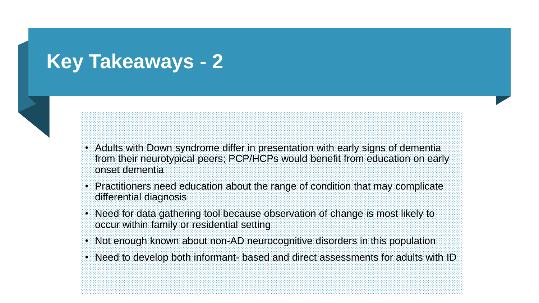## **Key Takeaways - 2**



- Adults with Down syndrome differ in presentation with early signs of dementia from their neurotypical peers; PCP/HCPs would benefit from education on early onset dementia
- Practitioners need education about the range of condition that may complicate differential diagnosis
- Need for data gathering tool because observation of change is most likely to occur within family or residential setting
- Not enough known about non-AD neurocognitive disorders in this population
- Need to develop both informant- based and direct assessments for adults with ID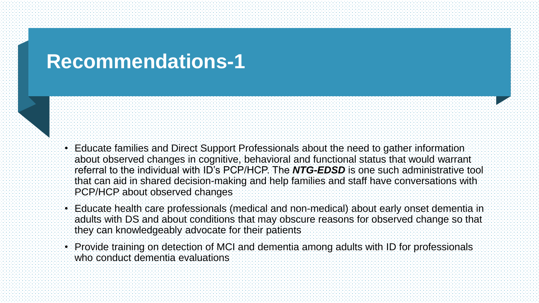## **Recommendations-1**

- Educate families and Direct Support Professionals about the need to gather information about observed changes in cognitive, behavioral and functional status that would warrant referral to the individual with ID's PCP/HCP. The *NTG-EDSD* is one such administrative tool that can aid in shared decision-making and help families and staff have conversations with PCP/HCP about observed changes
- Educate health care professionals (medical and non-medical) about early onset dementia in adults with DS and about conditions that may obscure reasons for observed change so that they can knowledgeably advocate for their patients
- Provide training on detection of MCI and dementia among adults with ID for professionals who conduct dementia evaluations